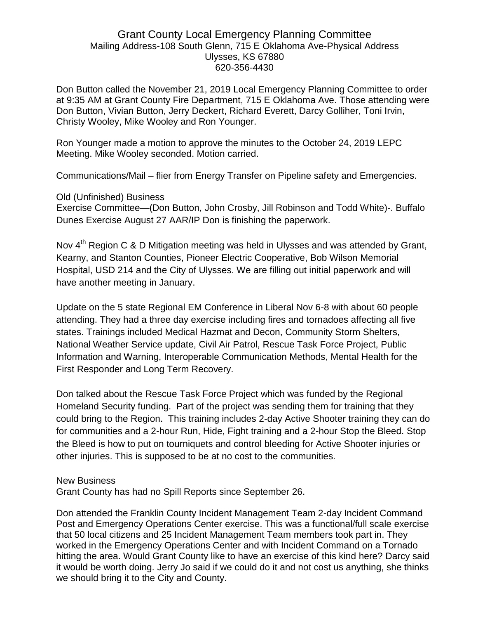## Grant County Local Emergency Planning Committee Mailing Address-108 South Glenn, 715 E Oklahoma Ave-Physical Address Ulysses, KS 67880 620-356-4430

Don Button called the November 21, 2019 Local Emergency Planning Committee to order at 9:35 AM at Grant County Fire Department, 715 E Oklahoma Ave. Those attending were Don Button, Vivian Button, Jerry Deckert, Richard Everett, Darcy Golliher, Toni Irvin, Christy Wooley, Mike Wooley and Ron Younger.

Ron Younger made a motion to approve the minutes to the October 24, 2019 LEPC Meeting. Mike Wooley seconded. Motion carried.

Communications/Mail – flier from Energy Transfer on Pipeline safety and Emergencies.

Old (Unfinished) Business

Exercise Committee—(Don Button, John Crosby, Jill Robinson and Todd White)-. Buffalo Dunes Exercise August 27 AAR/IP Don is finishing the paperwork.

Nov 4<sup>th</sup> Region C & D Mitigation meeting was held in Ulysses and was attended by Grant, Kearny, and Stanton Counties, Pioneer Electric Cooperative, Bob Wilson Memorial Hospital, USD 214 and the City of Ulysses. We are filling out initial paperwork and will have another meeting in January.

Update on the 5 state Regional EM Conference in Liberal Nov 6-8 with about 60 people attending. They had a three day exercise including fires and tornadoes affecting all five states. Trainings included Medical Hazmat and Decon, Community Storm Shelters, National Weather Service update, Civil Air Patrol, Rescue Task Force Project, Public Information and Warning, Interoperable Communication Methods, Mental Health for the First Responder and Long Term Recovery.

Don talked about the Rescue Task Force Project which was funded by the Regional Homeland Security funding. Part of the project was sending them for training that they could bring to the Region. This training includes 2-day Active Shooter training they can do for communities and a 2-hour Run, Hide, Fight training and a 2-hour Stop the Bleed. Stop the Bleed is how to put on tourniquets and control bleeding for Active Shooter injuries or other injuries. This is supposed to be at no cost to the communities.

## New Business

Grant County has had no Spill Reports since September 26.

Don attended the Franklin County Incident Management Team 2-day Incident Command Post and Emergency Operations Center exercise. This was a functional/full scale exercise that 50 local citizens and 25 Incident Management Team members took part in. They worked in the Emergency Operations Center and with Incident Command on a Tornado hitting the area. Would Grant County like to have an exercise of this kind here? Darcy said it would be worth doing. Jerry Jo said if we could do it and not cost us anything, she thinks we should bring it to the City and County.